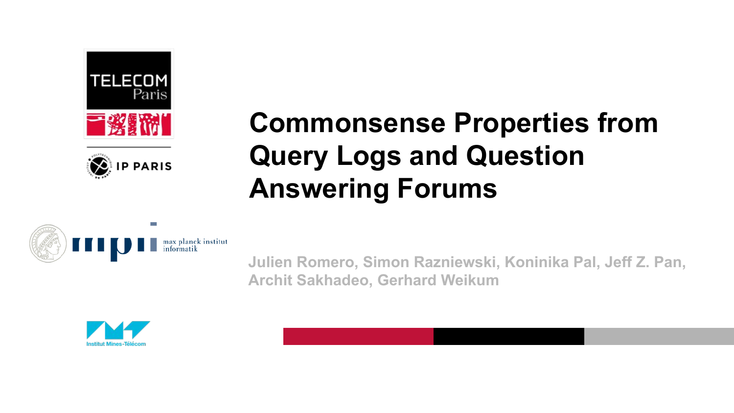



# **Commonsense Properties from Query Logs and Question Answering Forums**



**Julien Romero, Simon Razniewski, Koninika Pal, Jeff Z. Pan, Archit Sakhadeo, Gerhard Weikum**

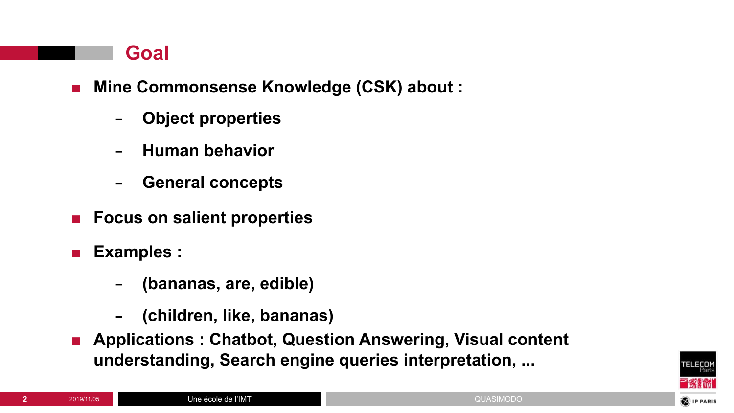#### **Goal**

- **■ Mine Commonsense Knowledge (CSK) about :**
	- − **Object properties**
	- − **Human behavior**
	- − **General concepts**
- **■ Focus on salient properties**
- **■ Examples :**
	- − **(bananas, are, edible)**
	- − **(children, like, bananas)**
- **Applications : Chatbot, Question Answering, Visual content understanding, Search engine queries interpretation, ...**

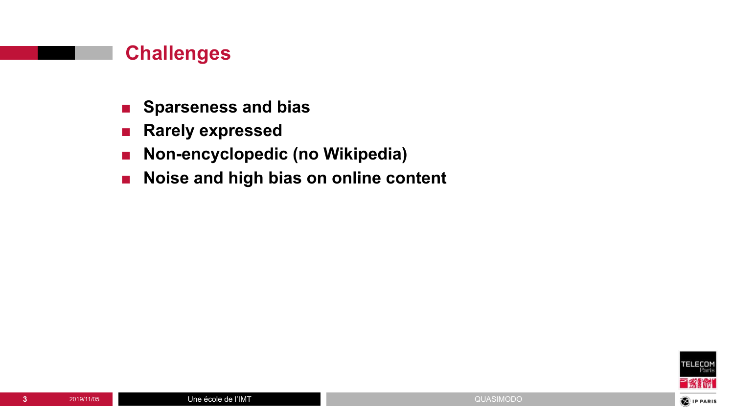#### **Challenges**

- **■ Sparseness and bias**
- **■ Rarely expressed**
- **■ Non-encyclopedic (no Wikipedia)**
- **■ Noise and high bias on online content**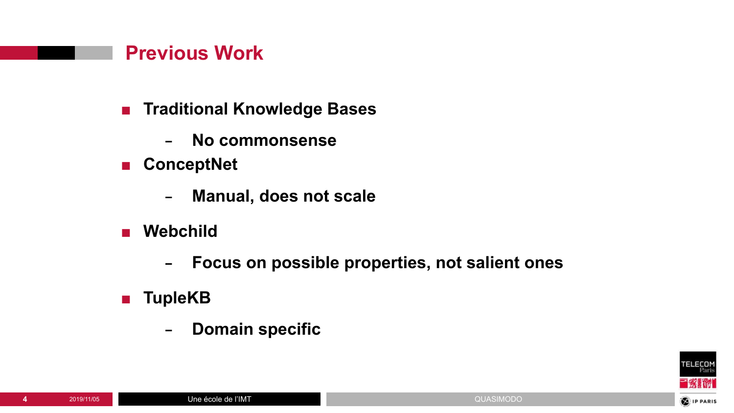#### **Previous Work**

- **■ Traditional Knowledge Bases**
	- − **No commonsense**
- **■ ConceptNet**
	- − **Manual, does not scale**
- **■ Webchild**
	- − **Focus on possible properties, not salient ones**
- **■ TupleKB**
	- − **Domain specific**

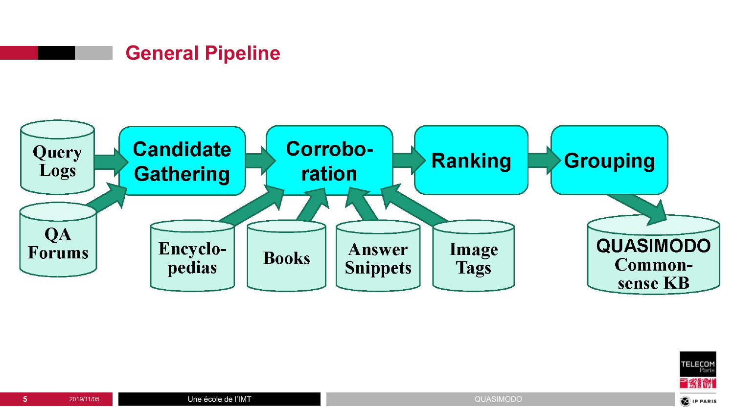#### **General Pipeline**



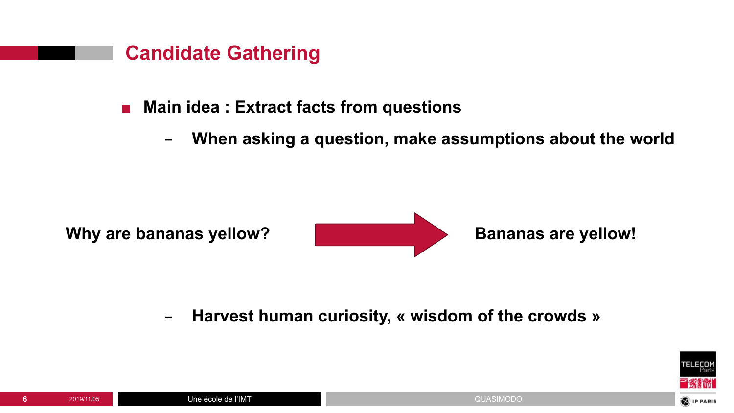

#### **■ Main idea : Extract facts from questions**

− **When asking a question, make assumptions about the world**



− **Harvest human curiosity, « wisdom of the crowds »**

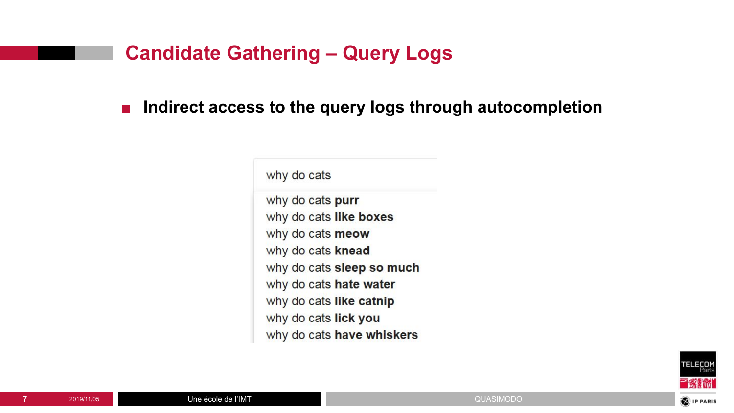#### **Candidate Gathering – Query Logs**

■ **Indirect access to the query logs through autocompletion** 

why do cats

why do cats purr why do cats like boxes why do cats meow why do cats knead why do cats sleep so much why do cats hate water why do cats like catnip why do cats lick you why do cats have whiskers

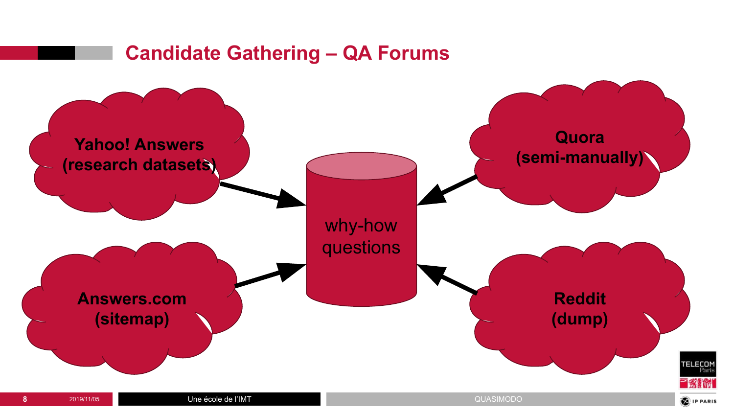### **Candidate Gathering – QA Forums**

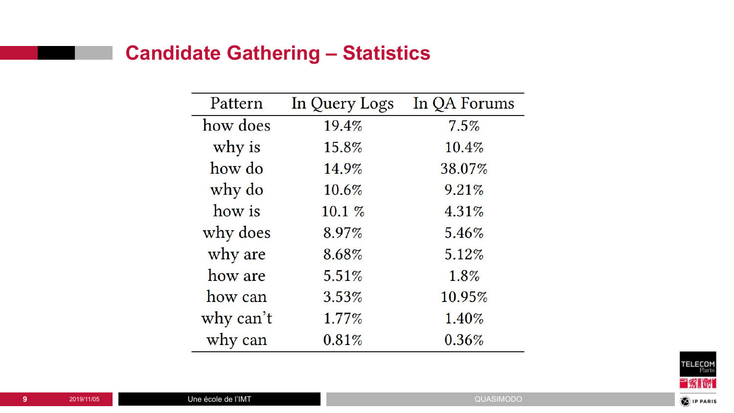## **Candidate Gathering – Statistics**

| Pattern   | In Query Logs | In QA Forums |  |  |
|-----------|---------------|--------------|--|--|
| how does  | 19.4%         | 7.5%         |  |  |
| why is    | 15.8%         | 10.4%        |  |  |
| how do    | 14.9%         | 38.07%       |  |  |
| why do    | 10.6%         | 9.21%        |  |  |
| how is    | $10.1 \%$     | 4.31%        |  |  |
| why does  | 8.97%         | 5.46%        |  |  |
| why are   | 8.68%         | 5.12%        |  |  |
| how are   | 5.51%         | 1.8%         |  |  |
| how can   | 3.53%         | 10.95%       |  |  |
| why can't | 1.77%         | 1.40%        |  |  |
| why can   | 0.81%         | 0.36%        |  |  |

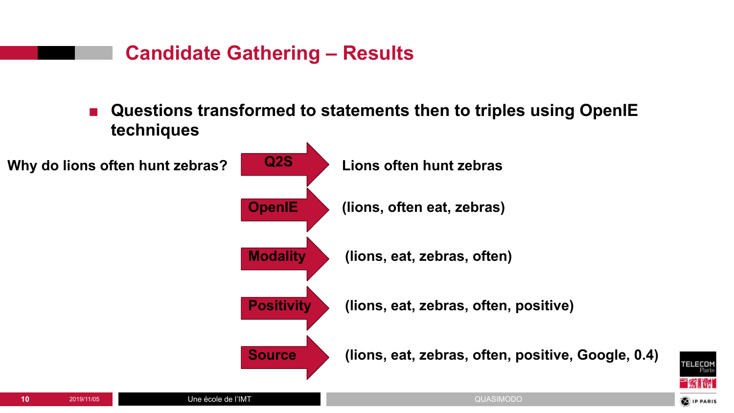



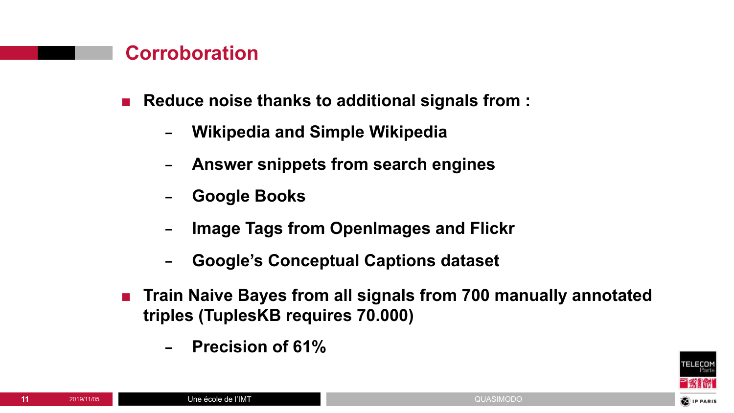#### **Corroboration**

**■ Reduce noise thanks to additional signals from :**

- − **Wikipedia and Simple Wikipedia**
- − **Answer snippets from search engines**
- − **Google Books**
- − **Image Tags from OpenImages and Flickr**
- − **Google's Conceptual Captions dataset**
- **Train Naive Bayes from all signals from 700 manually annotated triples (TuplesKB requires 70.000)**
	- − **Precision of 61%**

Une école de l'IMT

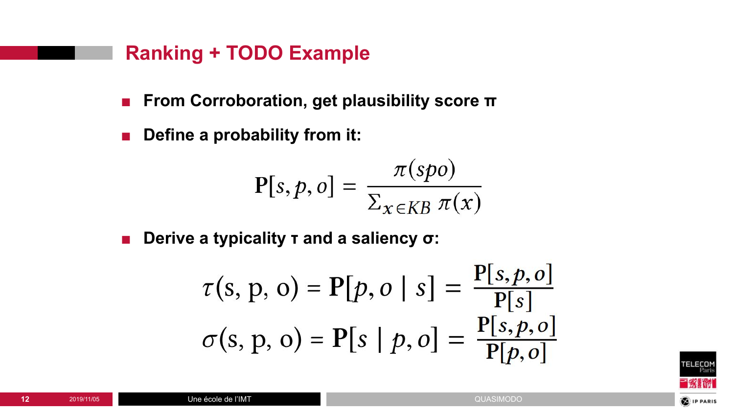#### **Ranking + TODO Example**

- **■ From Corroboration, get plausibility score π**
- **Define a probability from it:**

$$
\mathbf{P}[s, p, o] = \frac{\pi(spo)}{\Sigma_{x \in KB} \pi(x)}
$$

**■ Derive a typicality τ and a saliency σ:**

$$
\tau(s, p, o) = P[p, o | s] = \frac{P[s, p, o]}{P[s]} \sigma(s, p, o) = P[s | p, o] = \frac{P[s, p, o]}{P[p, o]}
$$

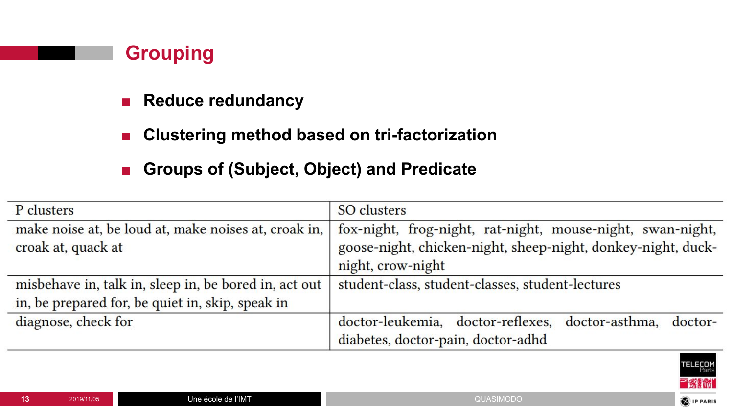

- **■ Reduce redundancy**
- **Clustering method based on tri-factorization**
- **■ Groups of (Subject, Object) and Predicate**

| P clusters                                                                 | <b>SO</b> clusters                                                                                                                              |  |  |  |  |  |
|----------------------------------------------------------------------------|-------------------------------------------------------------------------------------------------------------------------------------------------|--|--|--|--|--|
| make noise at, be loud at, make noises at, croak in,<br>croak at, quack at | fox-night, frog-night, rat-night, mouse-night, swan-night,<br>goose-night, chicken-night, sheep-night, donkey-night, duck-<br>night, crow-night |  |  |  |  |  |
| misbehave in, talk in, sleep in, be bored in, act out                      | student-class, student-classes, student-lectures                                                                                                |  |  |  |  |  |
| in, be prepared for, be quiet in, skip, speak in                           |                                                                                                                                                 |  |  |  |  |  |
| diagnose, check for                                                        | doctor-leukemia, doctor-reflexes,<br>doctor-asthma,<br>doctor-<br>diabetes, doctor-pain, doctor-adhd                                            |  |  |  |  |  |

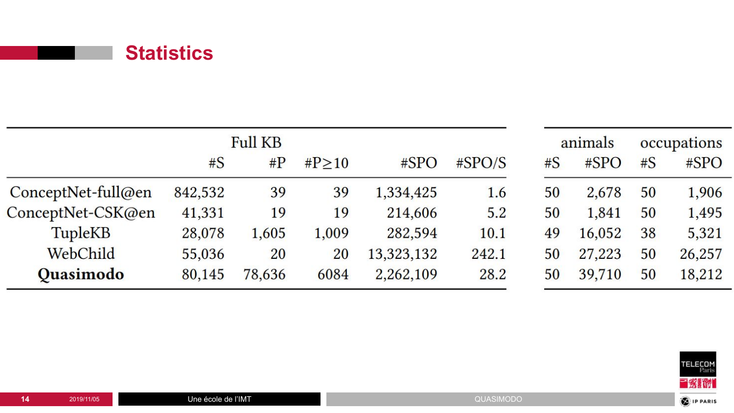

| <b>Full KB</b>       |         |        |          |            |           | animals |        | occupations |        |
|----------------------|---------|--------|----------|------------|-----------|---------|--------|-------------|--------|
|                      | #S      | $\#P$  | # $P>10$ | #SPO       | $\#SPO/S$ | #S      | #SPO   | #S          | #SPO   |
| $ConceptNet-full@en$ | 842,532 | 39     | 39       | 1,334,425  | 1.6       | 50      | 2,678  | 50          | 1,906  |
| ConceptNet-CSK@en    | 41,331  | 19     | 19       | 214,606    | 5.2       | 50      | 1,841  | 50          | 1,495  |
| <b>TupleKB</b>       | 28,078  | 1,605  | 1,009    | 282,594    | 10.1      | 49      | 16,052 | 38          | 5,321  |
| WebChild             | 55,036  | 20     | 20       | 13,323,132 | 242.1     | 50      | 27,223 | 50          | 26,257 |
| <b>Quasimodo</b>     | 80,145  | 78,636 | 6084     | 2,262,109  | 28.2      | 50      | 39,710 | 50          | 18,212 |

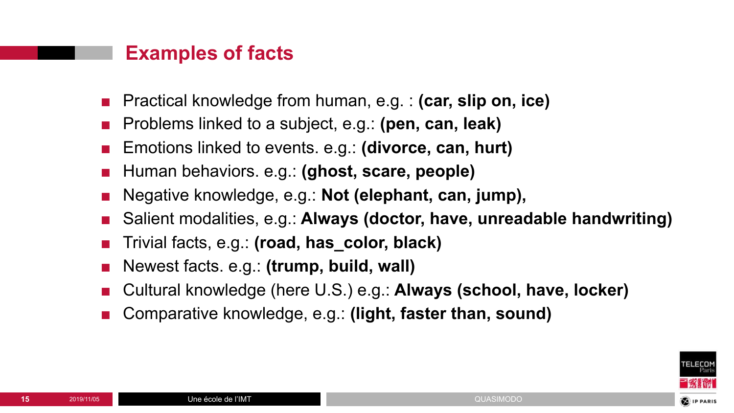#### **Examples of facts**

- Practical knowledge from human, e.g. : **(car, slip on, ice)**
- Problems linked to a subject, e.g.: **(pen, can, leak)**
- Emotions linked to events. e.g.: **(divorce, can, hurt)**
- Human behaviors. e.g.: **(ghost, scare, people)**
- Negative knowledge, e.g.: **Not (elephant, can, jump),**
- Salient modalities, e.g.: **Always (doctor, have, unreadable handwriting)**
- Trivial facts, e.g.: **(road, has\_color, black)**
- Newest facts. e.g.: **(trump, build, wall)**
- Cultural knowledge (here U.S.) e.g.: **Always (school, have, locker)**
- Comparative knowledge, e.g.: **(light, faster than, sound)**

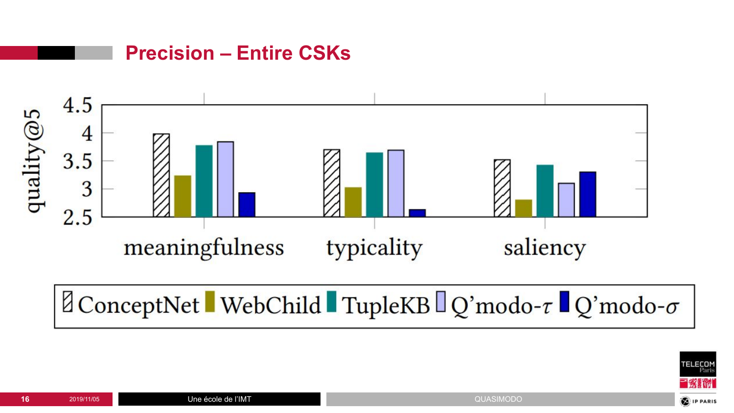

 $\mathbb{Z}$ ConceptNet WebChild TupleKB  $\mathbb{Q}$ 'modo- $\tau$  Q'modo- $\sigma$ 



**Precision – Entire CSKs**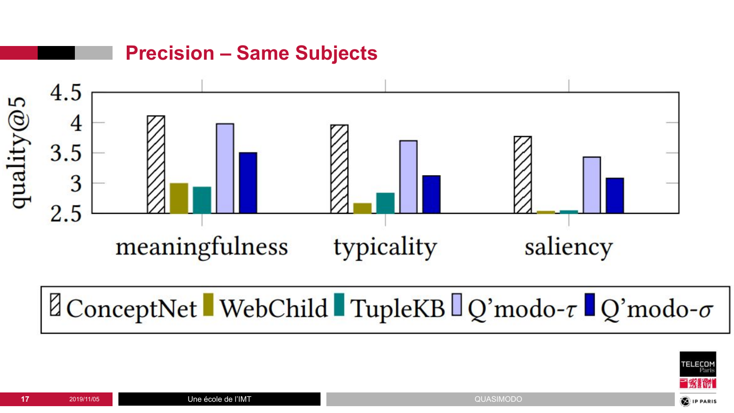

 $\mathbb{Z}$ ConceptNet WebChild TupleKB  $\mathbb{Q}$ 'modo- $\tau$  Q'modo- $\sigma$ 

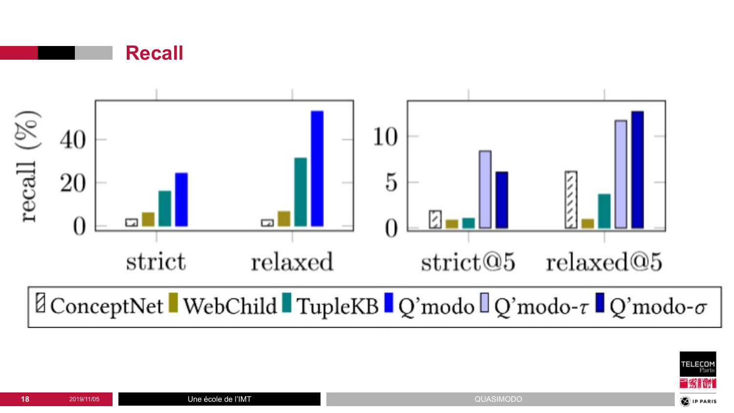



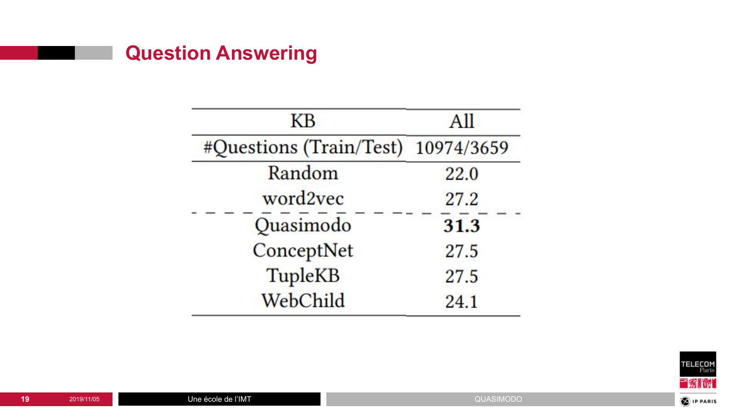## **Question Answering**

| KB                                 | All  |  |  |  |  |
|------------------------------------|------|--|--|--|--|
| #Questions (Train/Test) 10974/3659 |      |  |  |  |  |
| Random                             | 22.0 |  |  |  |  |
| word2vec                           | 27.2 |  |  |  |  |
| Quasimodo                          | 31.3 |  |  |  |  |
| ConceptNet                         | 27.5 |  |  |  |  |
| <b>TupleKB</b>                     | 27.5 |  |  |  |  |
| WebChild                           | 24.1 |  |  |  |  |

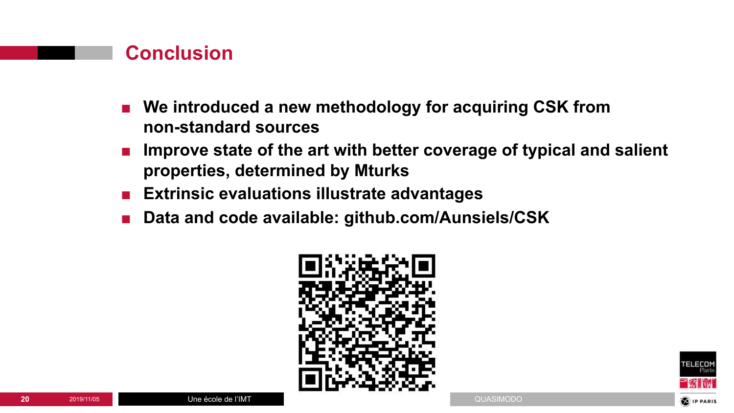#### **Conclusion**

- We introduced a new methodology for acquiring CSK from **non-standard sources**
- Improve state of the art with better coverage of typical and salient **properties, determined by Mturks**
- **■ Extrinsic evaluations illustrate advantages**
- **Data and code available: github.com/Aunsiels/CSK**



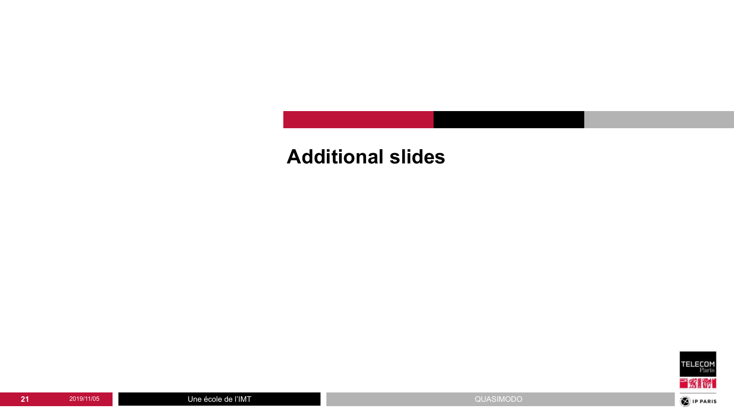## **Additional slides**

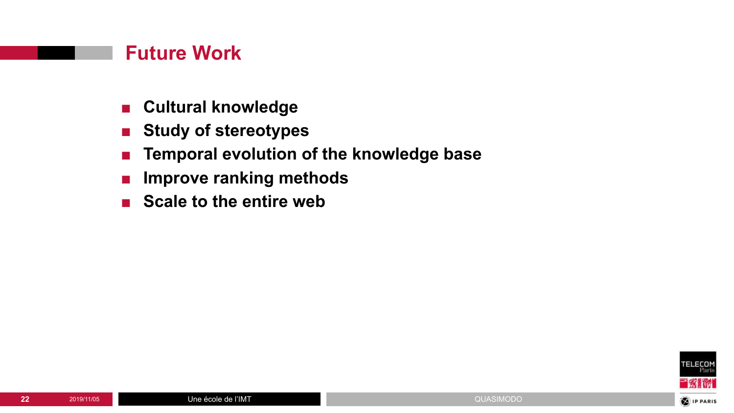#### **Future Work**

- **■ Cultural knowledge**
- **■ Study of stereotypes**
- **■ Temporal evolution of the knowledge base**
- **■ Improve ranking methods**
- **Scale to the entire web**